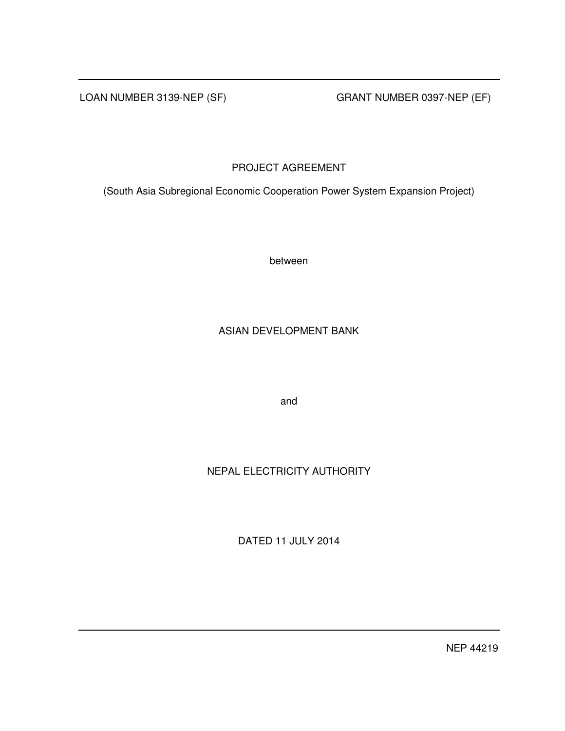LOAN NUMBER 3139-NEP (SF) GRANT NUMBER 0397-NEP (EF)

## PROJECT AGREEMENT

(South Asia Subregional Economic Cooperation Power System Expansion Project)

between

## ASIAN DEVELOPMENT BANK

and

# NEPAL ELECTRICITY AUTHORITY

DATED 11 JULY 2014

NEP 44219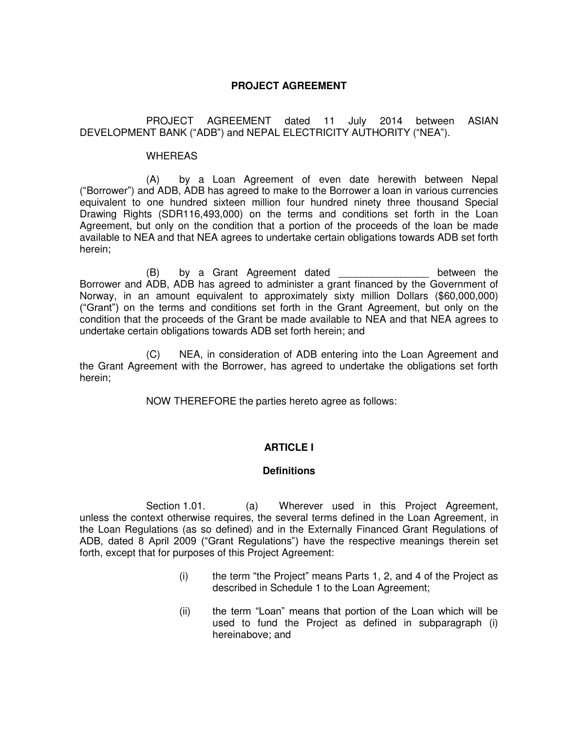## **PROJECT AGREEMENT**

 PROJECT AGREEMENT dated 11 July 2014 between ASIAN DEVELOPMENT BANK ("ADB") and NEPAL ELECTRICITY AUTHORITY ("NEA").

#### **WHEREAS**

 (A) by a Loan Agreement of even date herewith between Nepal ("Borrower") and ADB, ADB has agreed to make to the Borrower a loan in various currencies equivalent to one hundred sixteen million four hundred ninety three thousand Special Drawing Rights (SDR116,493,000) on the terms and conditions set forth in the Loan Agreement, but only on the condition that a portion of the proceeds of the loan be made available to NEA and that NEA agrees to undertake certain obligations towards ADB set forth herein;

 (B) by a Grant Agreement dated \_\_\_\_\_\_\_\_\_\_\_\_\_\_\_\_ between the Borrower and ADB, ADB has agreed to administer a grant financed by the Government of Norway, in an amount equivalent to approximately sixty million Dollars (\$60,000,000) ("Grant") on the terms and conditions set forth in the Grant Agreement, but only on the condition that the proceeds of the Grant be made available to NEA and that NEA agrees to undertake certain obligations towards ADB set forth herein; and

(C) NEA, in consideration of ADB entering into the Loan Agreement and the Grant Agreement with the Borrower, has agreed to undertake the obligations set forth herein;

NOW THEREFORE the parties hereto agree as follows:

## **ARTICLE I**

## **Definitions**

Section 1.01. (a) Wherever used in this Project Agreement, unless the context otherwise requires, the several terms defined in the Loan Agreement, in the Loan Regulations (as so defined) and in the Externally Financed Grant Regulations of ADB, dated 8 April 2009 ("Grant Regulations") have the respective meanings therein set forth, except that for purposes of this Project Agreement:

- (i) the term "the Project" means Parts 1, 2, and 4 of the Project as described in Schedule 1 to the Loan Agreement;
- (ii) the term "Loan" means that portion of the Loan which will be used to fund the Project as defined in subparagraph (i) hereinabove; and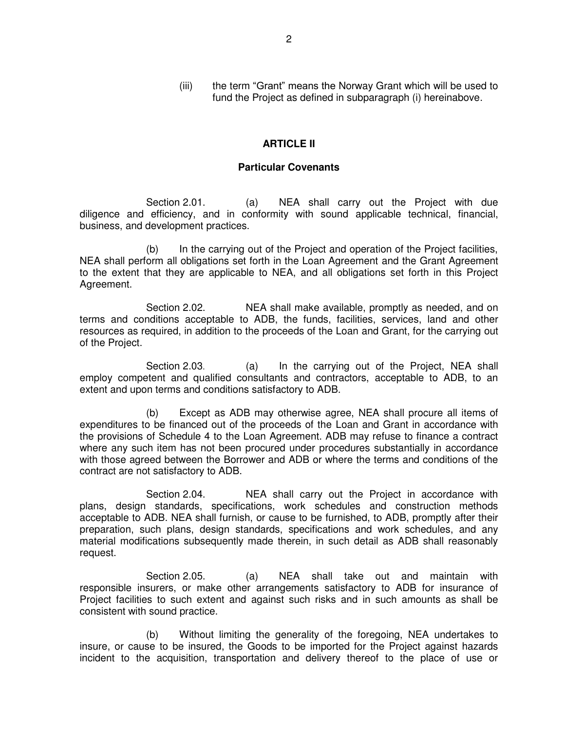(iii) the term "Grant" means the Norway Grant which will be used to fund the Project as defined in subparagraph (i) hereinabove.

## **ARTICLE II**

## **Particular Covenants**

Section 2.01. (a) NEA shall carry out the Project with due diligence and efficiency, and in conformity with sound applicable technical, financial, business, and development practices.

 (b) In the carrying out of the Project and operation of the Project facilities, NEA shall perform all obligations set forth in the Loan Agreement and the Grant Agreement to the extent that they are applicable to NEA, and all obligations set forth in this Project Agreement.

Section 2.02. NEA shall make available, promptly as needed, and on terms and conditions acceptable to ADB, the funds, facilities, services, land and other resources as required, in addition to the proceeds of the Loan and Grant, for the carrying out of the Project.

Section 2.03. (a) In the carrying out of the Project, NEA shall employ competent and qualified consultants and contractors, acceptable to ADB, to an extent and upon terms and conditions satisfactory to ADB.

 (b) Except as ADB may otherwise agree, NEA shall procure all items of expenditures to be financed out of the proceeds of the Loan and Grant in accordance with the provisions of Schedule 4 to the Loan Agreement. ADB may refuse to finance a contract where any such item has not been procured under procedures substantially in accordance with those agreed between the Borrower and ADB or where the terms and conditions of the contract are not satisfactory to ADB.

 Section 2.04. NEA shall carry out the Project in accordance with plans, design standards, specifications, work schedules and construction methods acceptable to ADB. NEA shall furnish, or cause to be furnished, to ADB, promptly after their preparation, such plans, design standards, specifications and work schedules, and any material modifications subsequently made therein, in such detail as ADB shall reasonably request.

 Section 2.05. (a) NEA shall take out and maintain with responsible insurers, or make other arrangements satisfactory to ADB for insurance of Project facilities to such extent and against such risks and in such amounts as shall be consistent with sound practice.

 (b) Without limiting the generality of the foregoing, NEA undertakes to insure, or cause to be insured, the Goods to be imported for the Project against hazards incident to the acquisition, transportation and delivery thereof to the place of use or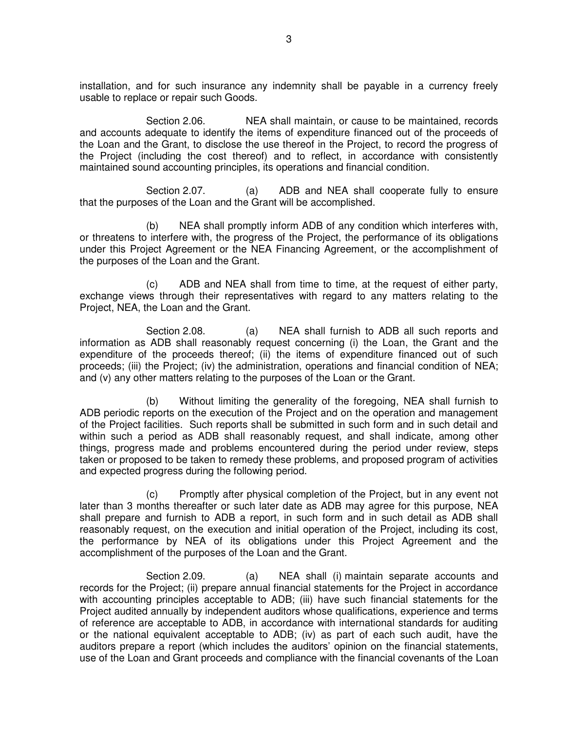installation, and for such insurance any indemnity shall be payable in a currency freely usable to replace or repair such Goods.

 Section 2.06. NEA shall maintain, or cause to be maintained, records and accounts adequate to identify the items of expenditure financed out of the proceeds of the Loan and the Grant, to disclose the use thereof in the Project, to record the progress of the Project (including the cost thereof) and to reflect, in accordance with consistently maintained sound accounting principles, its operations and financial condition.

 Section 2.07. (a) ADB and NEA shall cooperate fully to ensure that the purposes of the Loan and the Grant will be accomplished.

 (b) NEA shall promptly inform ADB of any condition which interferes with, or threatens to interfere with, the progress of the Project, the performance of its obligations under this Project Agreement or the NEA Financing Agreement, or the accomplishment of the purposes of the Loan and the Grant.

 (c) ADB and NEA shall from time to time, at the request of either party, exchange views through their representatives with regard to any matters relating to the Project, NEA, the Loan and the Grant.

Section 2.08. (a) NEA shall furnish to ADB all such reports and information as ADB shall reasonably request concerning (i) the Loan, the Grant and the expenditure of the proceeds thereof; (ii) the items of expenditure financed out of such proceeds; (iii) the Project; (iv) the administration, operations and financial condition of NEA; and (v) any other matters relating to the purposes of the Loan or the Grant.

 (b) Without limiting the generality of the foregoing, NEA shall furnish to ADB periodic reports on the execution of the Project and on the operation and management of the Project facilities. Such reports shall be submitted in such form and in such detail and within such a period as ADB shall reasonably request, and shall indicate, among other things, progress made and problems encountered during the period under review, steps taken or proposed to be taken to remedy these problems, and proposed program of activities and expected progress during the following period.

 (c) Promptly after physical completion of the Project, but in any event not later than 3 months thereafter or such later date as ADB may agree for this purpose, NEA shall prepare and furnish to ADB a report, in such form and in such detail as ADB shall reasonably request, on the execution and initial operation of the Project, including its cost, the performance by NEA of its obligations under this Project Agreement and the accomplishment of the purposes of the Loan and the Grant.

Section 2.09. (a) NEA shall (i) maintain separate accounts and records for the Project; (ii) prepare annual financial statements for the Project in accordance with accounting principles acceptable to ADB; (iii) have such financial statements for the Project audited annually by independent auditors whose qualifications, experience and terms of reference are acceptable to ADB, in accordance with international standards for auditing or the national equivalent acceptable to ADB; (iv) as part of each such audit, have the auditors prepare a report (which includes the auditors' opinion on the financial statements, use of the Loan and Grant proceeds and compliance with the financial covenants of the Loan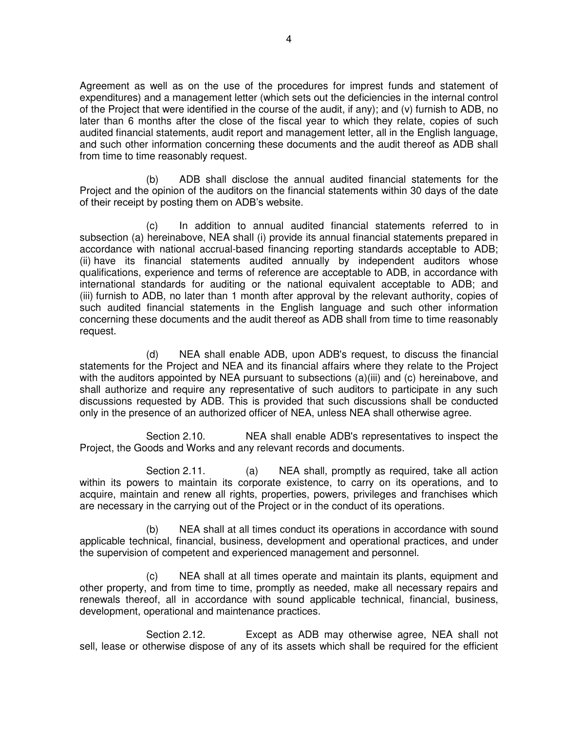Agreement as well as on the use of the procedures for imprest funds and statement of expenditures) and a management letter (which sets out the deficiencies in the internal control of the Project that were identified in the course of the audit, if any); and (v) furnish to ADB, no later than 6 months after the close of the fiscal year to which they relate, copies of such audited financial statements, audit report and management letter, all in the English language, and such other information concerning these documents and the audit thereof as ADB shall from time to time reasonably request.

 (b) ADB shall disclose the annual audited financial statements for the Project and the opinion of the auditors on the financial statements within 30 days of the date of their receipt by posting them on ADB's website.

(c) In addition to annual audited financial statements referred to in subsection (a) hereinabove, NEA shall (i) provide its annual financial statements prepared in accordance with national accrual-based financing reporting standards acceptable to ADB; (ii) have its financial statements audited annually by independent auditors whose qualifications, experience and terms of reference are acceptable to ADB, in accordance with international standards for auditing or the national equivalent acceptable to ADB; and (iii) furnish to ADB, no later than 1 month after approval by the relevant authority, copies of such audited financial statements in the English language and such other information concerning these documents and the audit thereof as ADB shall from time to time reasonably request.

 (d) NEA shall enable ADB, upon ADB's request, to discuss the financial statements for the Project and NEA and its financial affairs where they relate to the Project with the auditors appointed by NEA pursuant to subsections (a)(iii) and (c) hereinabove, and shall authorize and require any representative of such auditors to participate in any such discussions requested by ADB. This is provided that such discussions shall be conducted only in the presence of an authorized officer of NEA, unless NEA shall otherwise agree.

 Section 2.10. NEA shall enable ADB's representatives to inspect the Project, the Goods and Works and any relevant records and documents.

Section 2.11. (a) NEA shall, promptly as required, take all action within its powers to maintain its corporate existence, to carry on its operations, and to acquire, maintain and renew all rights, properties, powers, privileges and franchises which are necessary in the carrying out of the Project or in the conduct of its operations.

 (b) NEA shall at all times conduct its operations in accordance with sound applicable technical, financial, business, development and operational practices, and under the supervision of competent and experienced management and personnel.

 (c) NEA shall at all times operate and maintain its plants, equipment and other property, and from time to time, promptly as needed, make all necessary repairs and renewals thereof, all in accordance with sound applicable technical, financial, business, development, operational and maintenance practices.

 Section 2.12. Except as ADB may otherwise agree, NEA shall not sell, lease or otherwise dispose of any of its assets which shall be required for the efficient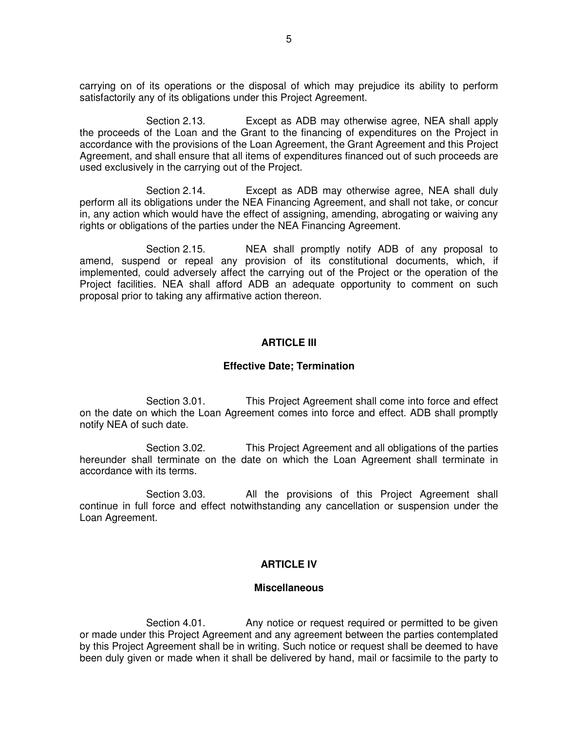carrying on of its operations or the disposal of which may prejudice its ability to perform satisfactorily any of its obligations under this Project Agreement.

 Section 2.13. Except as ADB may otherwise agree, NEA shall apply the proceeds of the Loan and the Grant to the financing of expenditures on the Project in accordance with the provisions of the Loan Agreement, the Grant Agreement and this Project Agreement, and shall ensure that all items of expenditures financed out of such proceeds are used exclusively in the carrying out of the Project.

 Section 2.14. Except as ADB may otherwise agree, NEA shall duly perform all its obligations under the NEA Financing Agreement, and shall not take, or concur in, any action which would have the effect of assigning, amending, abrogating or waiving any rights or obligations of the parties under the NEA Financing Agreement.

 Section 2.15. NEA shall promptly notify ADB of any proposal to amend, suspend or repeal any provision of its constitutional documents, which, if implemented, could adversely affect the carrying out of the Project or the operation of the Project facilities. NEA shall afford ADB an adequate opportunity to comment on such proposal prior to taking any affirmative action thereon.

### **ARTICLE III**

#### **Effective Date; Termination**

Section 3.01. This Project Agreement shall come into force and effect on the date on which the Loan Agreement comes into force and effect. ADB shall promptly notify NEA of such date.

Section 3.02. This Project Agreement and all obligations of the parties hereunder shall terminate on the date on which the Loan Agreement shall terminate in accordance with its terms.

Section 3.03. All the provisions of this Project Agreement shall continue in full force and effect notwithstanding any cancellation or suspension under the Loan Agreement.

### **ARTICLE IV**

#### **Miscellaneous**

Section 4.01. Any notice or request required or permitted to be given or made under this Project Agreement and any agreement between the parties contemplated by this Project Agreement shall be in writing. Such notice or request shall be deemed to have been duly given or made when it shall be delivered by hand, mail or facsimile to the party to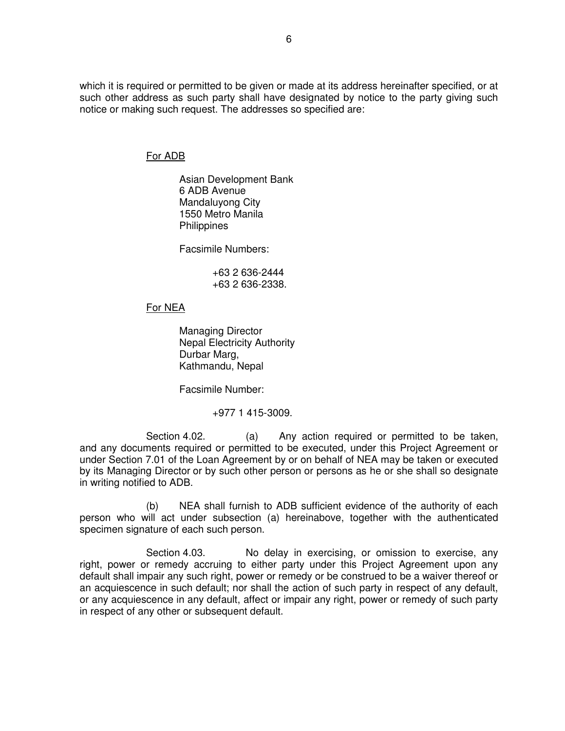which it is required or permitted to be given or made at its address hereinafter specified, or at such other address as such party shall have designated by notice to the party giving such notice or making such request. The addresses so specified are:

## For ADB

Asian Development Bank 6 ADB Avenue Mandaluyong City 1550 Metro Manila **Philippines** 

Facsimile Numbers:

 +63 2 636-2444 +63 2 636-2338.

## For NEA

 Managing Director Nepal Electricity Authority Durbar Marg, Kathmandu, Nepal

Facsimile Number:

+977 1 415-3009.

Section 4.02. (a) Any action required or permitted to be taken, and any documents required or permitted to be executed, under this Project Agreement or under Section 7.01 of the Loan Agreement by or on behalf of NEA may be taken or executed by its Managing Director or by such other person or persons as he or she shall so designate in writing notified to ADB.

 (b) NEA shall furnish to ADB sufficient evidence of the authority of each person who will act under subsection (a) hereinabove, together with the authenticated specimen signature of each such person.

Section 4.03. No delay in exercising, or omission to exercise, any right, power or remedy accruing to either party under this Project Agreement upon any default shall impair any such right, power or remedy or be construed to be a waiver thereof or an acquiescence in such default; nor shall the action of such party in respect of any default, or any acquiescence in any default, affect or impair any right, power or remedy of such party in respect of any other or subsequent default.